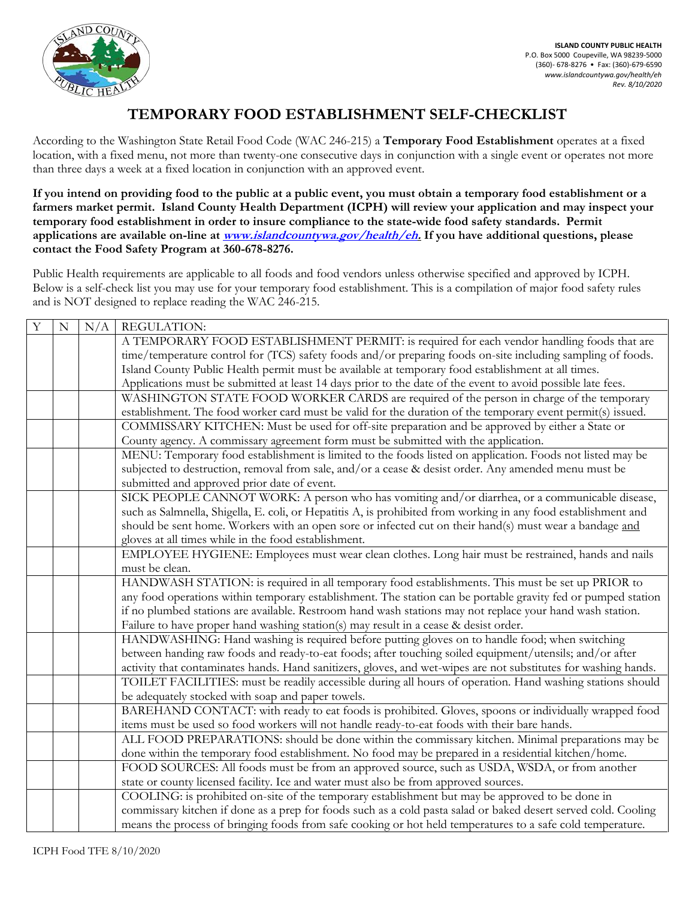

## **TEMPORARY FOOD ESTABLISHMENT SELF-CHECKLIST**

According to the Washington State Retail Food Code (WAC 246-215) a **Temporary Food Establishment** operates at a fixed location, with a fixed menu, not more than twenty-one consecutive days in conjunction with a single event or operates not more than three days a week at a fixed location in conjunction with an approved event.

**If you intend on providing food to the public at a public event, you must obtain a temporary food establishment or a farmers market permit. Island County Health Department (ICPH) will review your application and may inspect your temporary food establishment in order to insure compliance to the state-wide food safety standards. Permit applications are available on-line at [www.islandcountywa.gov/health/eh.](http://www.islandcountywa.gov/health/eh) If you have additional questions, please contact the Food Safety Program at 360-678-8276.**

Public Health requirements are applicable to all foods and food vendors unless otherwise specified and approved by ICPH. Below is a self-check list you may use for your temporary food establishment. This is a compilation of major food safety rules and is NOT designed to replace reading the WAC 246-215.

| Y | $\mathbf N$ | N/A | <b>REGULATION:</b>                                                                                              |
|---|-------------|-----|-----------------------------------------------------------------------------------------------------------------|
|   |             |     | A TEMPORARY FOOD ESTABLISHMENT PERMIT: is required for each vendor handling foods that are                      |
|   |             |     | time/temperature control for (TCS) safety foods and/or preparing foods on-site including sampling of foods.     |
|   |             |     | Island County Public Health permit must be available at temporary food establishment at all times.              |
|   |             |     | Applications must be submitted at least 14 days prior to the date of the event to avoid possible late fees.     |
|   |             |     | WASHINGTON STATE FOOD WORKER CARDS are required of the person in charge of the temporary                        |
|   |             |     | establishment. The food worker card must be valid for the duration of the temporary event permit(s) issued.     |
|   |             |     | COMMISSARY KITCHEN: Must be used for off-site preparation and be approved by either a State or                  |
|   |             |     | County agency. A commissary agreement form must be submitted with the application.                              |
|   |             |     | MENU: Temporary food establishment is limited to the foods listed on application. Foods not listed may be       |
|   |             |     | subjected to destruction, removal from sale, and/or a cease & desist order. Any amended menu must be            |
|   |             |     | submitted and approved prior date of event.                                                                     |
|   |             |     | SICK PEOPLE CANNOT WORK: A person who has vomiting and/or diarrhea, or a communicable disease,                  |
|   |             |     | such as Salmnella, Shigella, E. coli, or Hepatitis A, is prohibited from working in any food establishment and  |
|   |             |     | should be sent home. Workers with an open sore or infected cut on their hand(s) must wear a bandage and         |
|   |             |     | gloves at all times while in the food establishment.                                                            |
|   |             |     | EMPLOYEE HYGIENE: Employees must wear clean clothes. Long hair must be restrained, hands and nails              |
|   |             |     | must be clean.                                                                                                  |
|   |             |     | HANDWASH STATION: is required in all temporary food establishments. This must be set up PRIOR to                |
|   |             |     | any food operations within temporary establishment. The station can be portable gravity fed or pumped station   |
|   |             |     | if no plumbed stations are available. Restroom hand wash stations may not replace your hand wash station.       |
|   |             |     | Failure to have proper hand washing station(s) may result in a cease & desist order.                            |
|   |             |     | HANDWASHING: Hand washing is required before putting gloves on to handle food; when switching                   |
|   |             |     | between handing raw foods and ready-to-eat foods; after touching soiled equipment/utensils; and/or after        |
|   |             |     | activity that contaminates hands. Hand sanitizers, gloves, and wet-wipes are not substitutes for washing hands. |
|   |             |     | TOILET FACILITIES: must be readily accessible during all hours of operation. Hand washing stations should       |
|   |             |     | be adequately stocked with soap and paper towels.                                                               |
|   |             |     | BAREHAND CONTACT: with ready to eat foods is prohibited. Gloves, spoons or individually wrapped food            |
|   |             |     | items must be used so food workers will not handle ready-to-eat foods with their bare hands.                    |
|   |             |     | ALL FOOD PREPARATIONS: should be done within the commissary kitchen. Minimal preparations may be                |
|   |             |     | done within the temporary food establishment. No food may be prepared in a residential kitchen/home.            |
|   |             |     | FOOD SOURCES: All foods must be from an approved source, such as USDA, WSDA, or from another                    |
|   |             |     | state or county licensed facility. Ice and water must also be from approved sources.                            |
|   |             |     | COOLING: is prohibited on-site of the temporary establishment but may be approved to be done in                 |
|   |             |     | commissary kitchen if done as a prep for foods such as a cold pasta salad or baked desert served cold. Cooling  |
|   |             |     | means the process of bringing foods from safe cooking or hot held temperatures to a safe cold temperature.      |